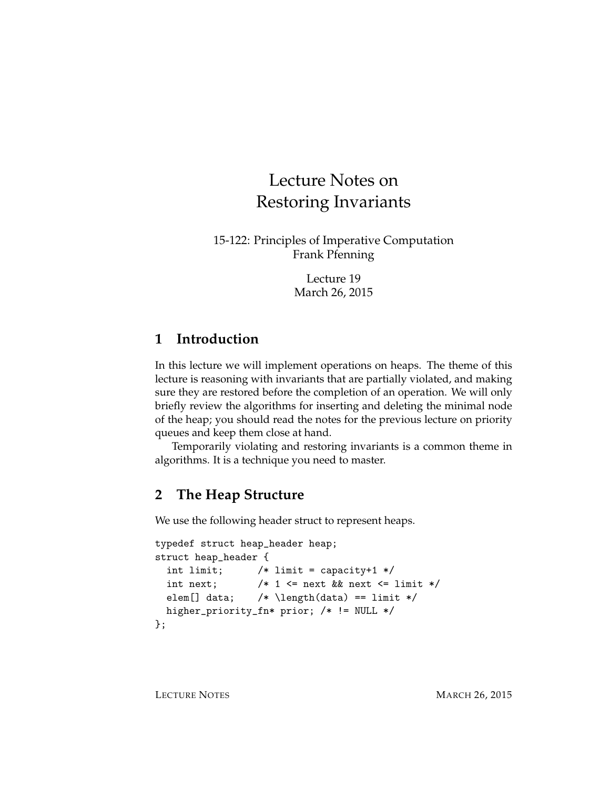# Lecture Notes on Restoring Invariants

15-122: Principles of Imperative Computation Frank Pfenning

> Lecture 19 March 26, 2015

### **1 Introduction**

In this lecture we will implement operations on heaps. The theme of this lecture is reasoning with invariants that are partially violated, and making sure they are restored before the completion of an operation. We will only briefly review the algorithms for inserting and deleting the minimal node of the heap; you should read the notes for the previous lecture on priority queues and keep them close at hand.

Temporarily violating and restoring invariants is a common theme in algorithms. It is a technique you need to master.

# **2 The Heap Structure**

We use the following header struct to represent heaps.

```
typedef struct heap_header heap;
struct heap_header {
  int limit; /* limit = capacity+1 */int next; /* 1 \le next && next <= limit */elem[] data; /* \left(\text{data}\right) == \text{limit} */higher_priority_fn* prior; /* != NULL */
};
```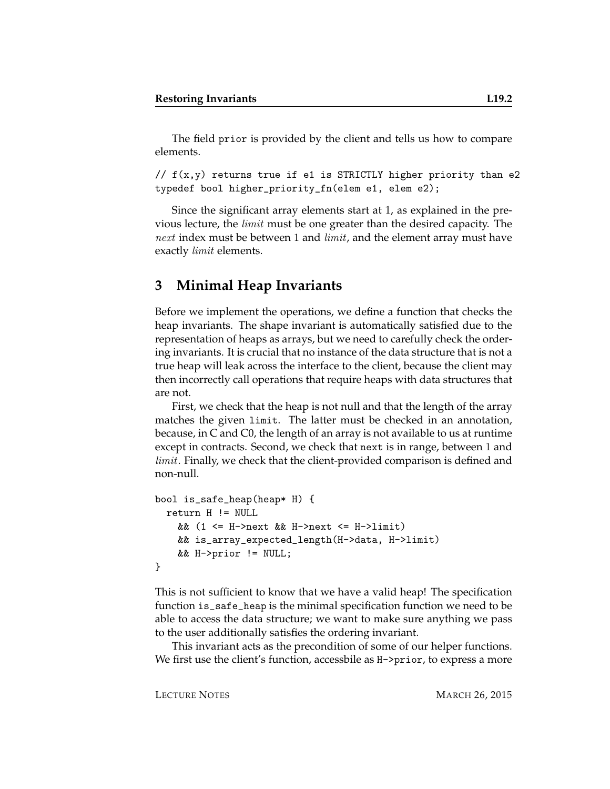The field prior is provided by the client and tells us how to compare elements.

//  $f(x,y)$  returns true if e1 is STRICTLY higher priority than e2 typedef bool higher\_priority\_fn(elem e1, elem e2);

Since the significant array elements start at 1, as explained in the previous lecture, the *limit* must be one greater than the desired capacity. The *next* index must be between 1 and *limit*, and the element array must have exactly *limit* elements.

#### **3 Minimal Heap Invariants**

Before we implement the operations, we define a function that checks the heap invariants. The shape invariant is automatically satisfied due to the representation of heaps as arrays, but we need to carefully check the ordering invariants. It is crucial that no instance of the data structure that is not a true heap will leak across the interface to the client, because the client may then incorrectly call operations that require heaps with data structures that are not.

First, we check that the heap is not null and that the length of the array matches the given limit. The latter must be checked in an annotation, because, in C and C0, the length of an array is not available to us at runtime except in contracts. Second, we check that next is in range, between 1 and *limit*. Finally, we check that the client-provided comparison is defined and non-null.

```
bool is_safe_heap(heap* H) {
 return H != NULL
    && (1 <= H->next && H->next <= H->limit)
   && is_array_expected_length(H->data, H->limit)
   && H->prior != NULL;
}
```
This is not sufficient to know that we have a valid heap! The specification function is\_safe\_heap is the minimal specification function we need to be able to access the data structure; we want to make sure anything we pass to the user additionally satisfies the ordering invariant.

This invariant acts as the precondition of some of our helper functions. We first use the client's function, accessbile as  $H\rightarrow$ prior, to express a more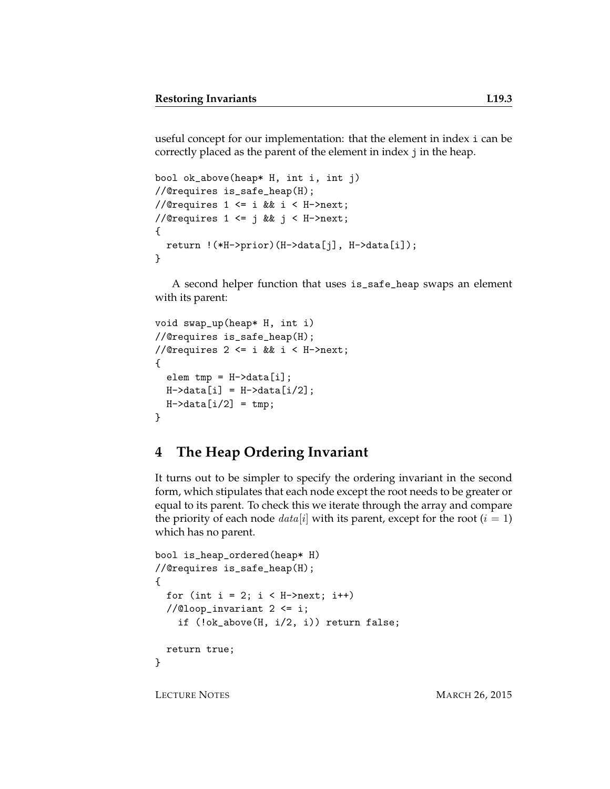useful concept for our implementation: that the element in index i can be correctly placed as the parent of the element in index j in the heap.

```
bool ok_above(heap* H, int i, int j)
//@requires is_safe_heap(H);
//@requires 1 \le i && i \le H->next;
//@requires 1 <= j && j < H->next;
{
  return !(*H->prior)(H->data[j], H->data[i]);
}
```
A second helper function that uses is\_safe\_heap swaps an element with its parent:

```
void swap_up(heap* H, int i)
//@requires is_safe_heap(H);
//@requires 2 \le i \& i \le H->next;
{
  elem tmp = H-\lambda data[i];H-\lambda data[i] = H-\lambda data[i/2];
  H-\lambda \text{data}[i/2] = \text{tmp};}
```
#### **4 The Heap Ordering Invariant**

It turns out to be simpler to specify the ordering invariant in the second form, which stipulates that each node except the root needs to be greater or equal to its parent. To check this we iterate through the array and compare the priority of each node  $data[i]$  with its parent, except for the root  $(i = 1)$ which has no parent.

```
bool is_heap_ordered(heap* H)
//@requires is_safe_heap(H);
{
 for (int i = 2; i < H->next; i++)
 //@loop_invariant 2 \leq i;if (!ok_above(H, i/2, i)) return false;
  return true;
}
```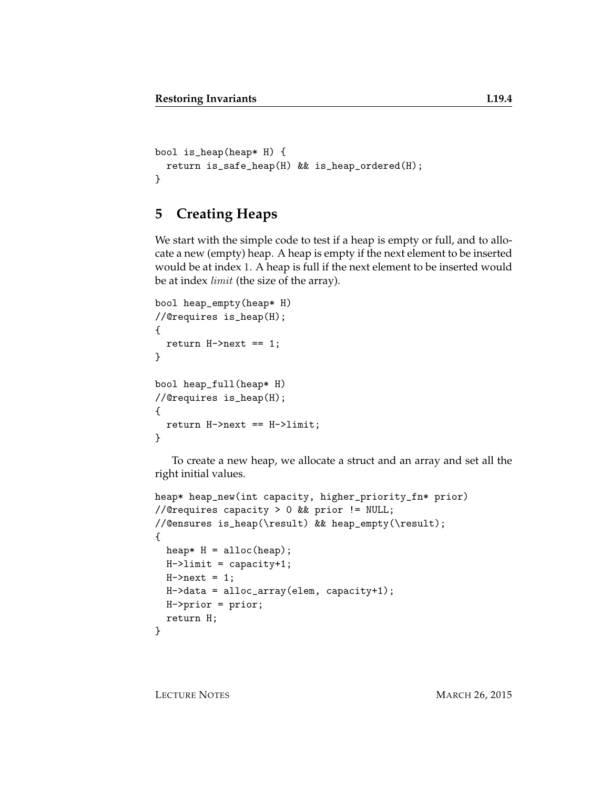```
bool is_heap(heap* H) {
  return is_safe_heap(H) && is_heap_ordered(H);
}
```
# **5 Creating Heaps**

We start with the simple code to test if a heap is empty or full, and to allocate a new (empty) heap. A heap is empty if the next element to be inserted would be at index 1. A heap is full if the next element to be inserted would be at index *limit* (the size of the array).

```
bool heap_empty(heap* H)
//@requires is_heap(H);
{
  return H->next == 1;
}
bool heap_full(heap* H)
//@requires is_heap(H);
{
  return H->next == H->limit;
}
```
To create a new heap, we allocate a struct and an array and set all the right initial values.

```
heap* heap_new(int capacity, higher_priority_fn* prior)
//@requires capacity > 0 && prior != NULL;
//@ensures is_heap(\result) && heap_empty(\result);
{
 heap* H = \text{alloc(heap)};
 H->limit = capacity+1;
 H->next = 1;
  H->data = alloc_array(elem, capacity+1);
 H->prior = prior;
  return H;
}
```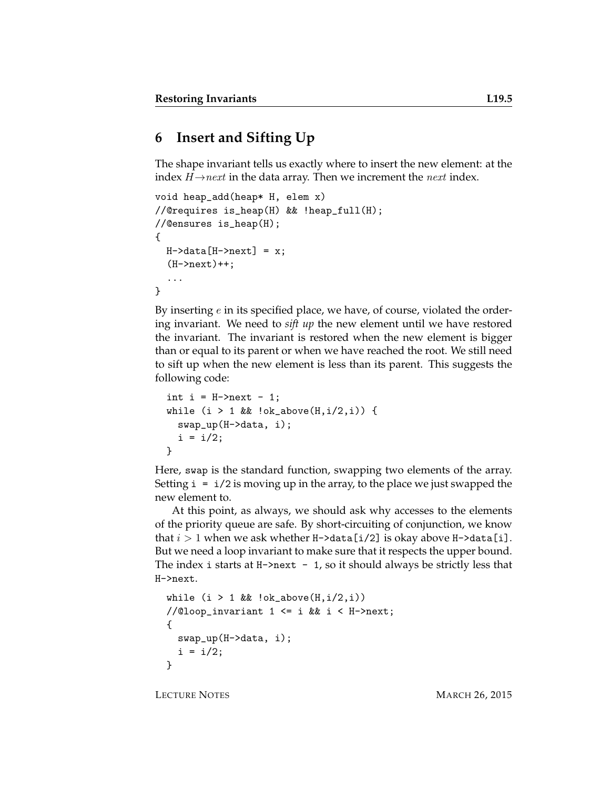#### **6 Insert and Sifting Up**

The shape invariant tells us exactly where to insert the new element: at the index  $H \rightarrow next$  in the data array. Then we increment the *next* index.

```
void heap_add(heap* H, elem x)
//@requires is_heap(H) && !heap_full(H);
//@ensures is_heap(H);
{
  H-\lambda\text{data}[H-\lambda\text{next}] = x;(H->next)+;
  ...
}
```
By inserting  $e$  in its specified place, we have, of course, violated the ordering invariant. We need to *sift up* the new element until we have restored the invariant. The invariant is restored when the new element is bigger than or equal to its parent or when we have reached the root. We still need to sift up when the new element is less than its parent. This suggests the following code:

```
int i = H->next - 1;
while (i > 1 && lok_abcve(H, i/2, i)) {
 swap_up(H->data, i);
  i = i/2;}
```
Here, swap is the standard function, swapping two elements of the array. Setting  $i = i/2$  is moving up in the array, to the place we just swapped the new element to.

At this point, as always, we should ask why accesses to the elements of the priority queue are safe. By short-circuiting of conjunction, we know that  $i > 1$  when we ask whether H->data [i/2] is okay above H->data [i]. But we need a loop invariant to make sure that it respects the upper bound. The index i starts at  $H\text{-}$ next - 1, so it should always be strictly less that H->next.

```
while (i > 1 && lok_above(H, i/2, i))//@loop_invariant 1 <= i && i < H->next;
{
  swap_up(H->data, i);
  i = i/2;}
```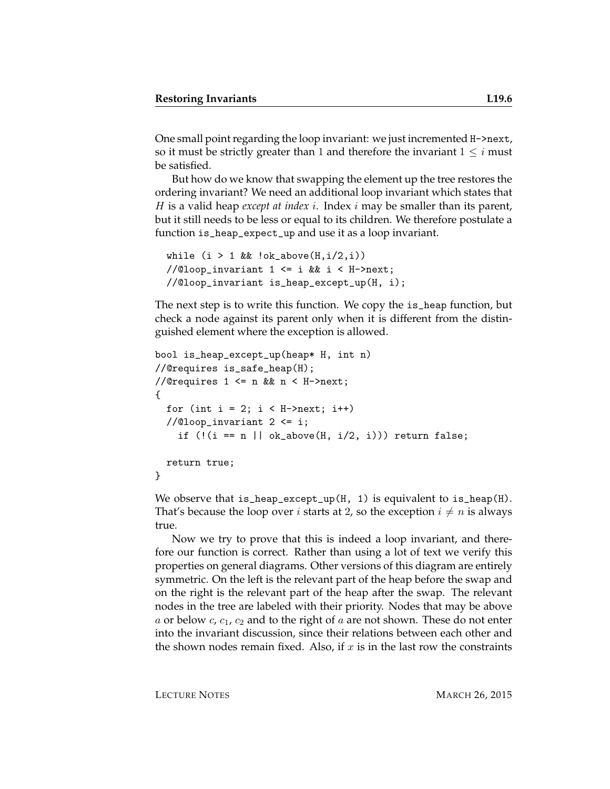One small point regarding the loop invariant: we just incremented H->next, so it must be strictly greater than 1 and therefore the invariant  $1 \leq i$  must be satisfied.

But how do we know that swapping the element up the tree restores the ordering invariant? We need an additional loop invariant which states that H is a valid heap *except at index* i. Index i may be smaller than its parent, but it still needs to be less or equal to its children. We therefore postulate a function is\_heap\_expect\_up and use it as a loop invariant.

```
while (i > 1 && lok_above(H, i/2, i))//@loop_invariant 1 \leq i && i \leq H->next;
//@loop_invariant is_heap_except_up(H, i);
```
The next step is to write this function. We copy the is\_heap function, but check a node against its parent only when it is different from the distinguished element where the exception is allowed.

```
bool is_heap_except_up(heap* H, int n)
//@requires is_safe_heap(H);
//@requires 1 \leq n && n \leq H->next;
{
  for (int i = 2; i < H->next; i++)//@loop_invariant 2 <= i;
    if (!(i == n || ok_above(H, i/2, i))) return false;
 return true;
}
```
We observe that is\_heap\_except\_up( $H$ , 1) is equivalent to is\_heap( $H$ ). That's because the loop over *i* starts at 2, so the exception  $i \neq n$  is always true.

Now we try to prove that this is indeed a loop invariant, and therefore our function is correct. Rather than using a lot of text we verify this properties on general diagrams. Other versions of this diagram are entirely symmetric. On the left is the relevant part of the heap before the swap and on the right is the relevant part of the heap after the swap. The relevant nodes in the tree are labeled with their priority. Nodes that may be above a or below  $c, c_1, c_2$  and to the right of a are not shown. These do not enter into the invariant discussion, since their relations between each other and the shown nodes remain fixed. Also, if  $x$  is in the last row the constraints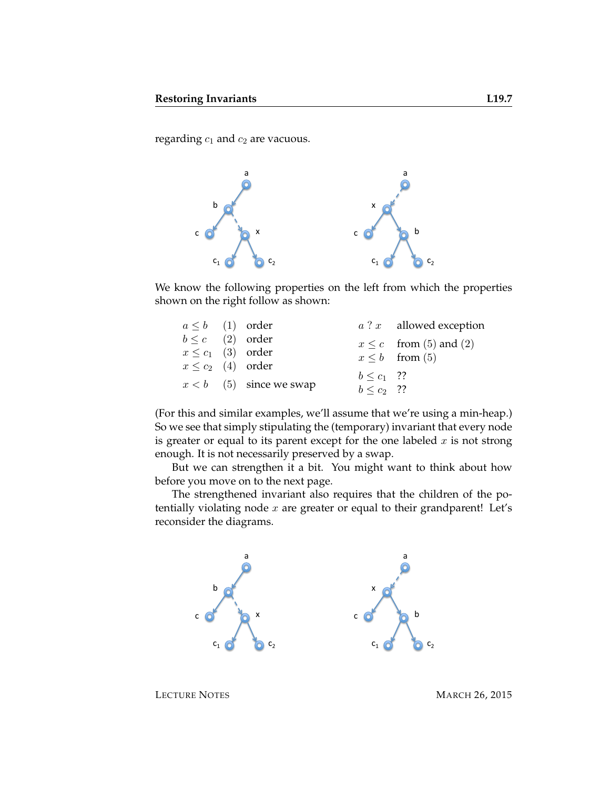regarding  $c_1$  and  $c_2$  are vacuous.



We know the following properties on the left from which the properties shown on the right follow as shown:

| $a \leq b$ (1) order   |                           |                 | $a$ ? $x$ allowed exception |
|------------------------|---------------------------|-----------------|-----------------------------|
| $b \leq c$ (2) order   |                           |                 | $x \leq c$ from (5) and (2) |
| $x \leq c_1$ (3) order |                           |                 | $x \leq b$ from (5)         |
| $x \leq c_2$ (4) order |                           |                 |                             |
|                        |                           | $b \leq c_1$ ?? |                             |
|                        | $x < b$ (5) since we swap | $b \leq c_2$ ?? |                             |

(For this and similar examples, we'll assume that we're using a min-heap.) So we see that simply stipulating the (temporary) invariant that every node is greater or equal to its parent except for the one labeled  $x$  is not strong enough. It is not necessarily preserved by a swap.

But we can strengthen it a bit. You might want to think about how before you move on to the next page.

The strengthened invariant also requires that the children of the potentially violating node  $x$  are greater or equal to their grandparent! Let's reconsider the diagrams.

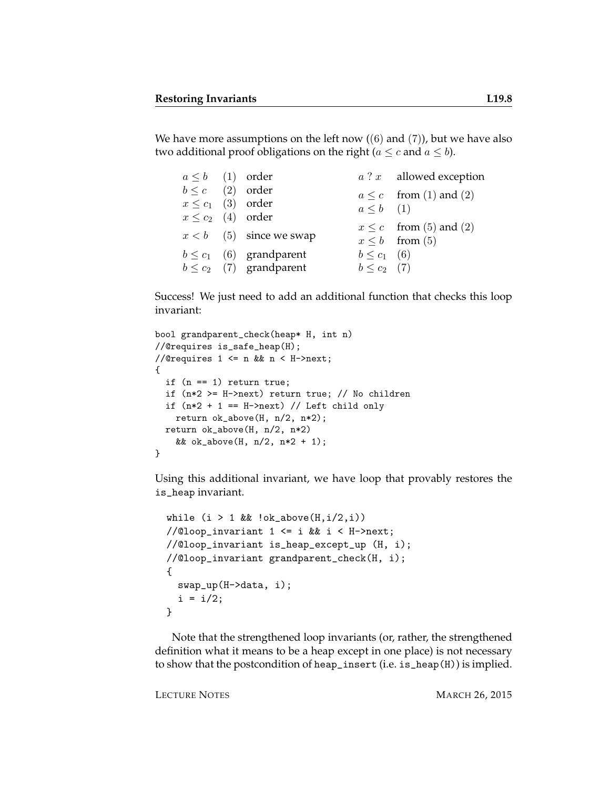We have more assumptions on the left now  $((6)$  and  $(7)$ ), but we have also two additional proof obligations on the right ( $a \leq c$  and  $a \leq b$ ).

| $a \leq b$ (1) order   |                              |                  | $a$ ? $x$ allowed exception |
|------------------------|------------------------------|------------------|-----------------------------|
| $b \leq c$ (2) order   |                              |                  | $a \leq c$ from (1) and (2) |
| $x \leq c_1$ (3) order |                              | $a \leq b$ (1)   |                             |
| $x \leq c_2$ (4) order |                              |                  |                             |
|                        | $x < b$ (5) since we swap    |                  | $x \leq c$ from (5) and (2) |
|                        |                              |                  | $x \leq b$ from (5)         |
|                        | $b \leq c_1$ (6) grandparent | $b \leq c_1$ (6) |                             |
|                        | $b \leq c_2$ (7) grandparent | $b \le c_2$ (7)  |                             |

Success! We just need to add an additional function that checks this loop invariant:

```
bool grandparent_check(heap* H, int n)
//@requires is_safe_heap(H);
//@requires 1 \leq n && n \leq H->next;
{
 if (n == 1) return true;
 if (n*2 >= H->next) return true; // No children
 if (n*2 + 1 == H\text{-}2next) // Left child only
   return ok_above(H, n/2, n*2);
 return ok_above(H, n/2, n*2)
    && ok_above(H, n/2, n*2 + 1);
}
```
Using this additional invariant, we have loop that provably restores the is\_heap invariant.

```
while (i > 1 && lok_above(H,i/2,i))//@loop_invariant 1 <= i && i < H->next;
//@loop_invariant is_heap_except_up (H, i);
//@loop_invariant grandparent_check(H, i);
{
 swap_up(H->data, i);
 i = i/2;}
```
Note that the strengthened loop invariants (or, rather, the strengthened definition what it means to be a heap except in one place) is not necessary to show that the postcondition of heap\_insert (i.e. is\_heap(H)) is implied.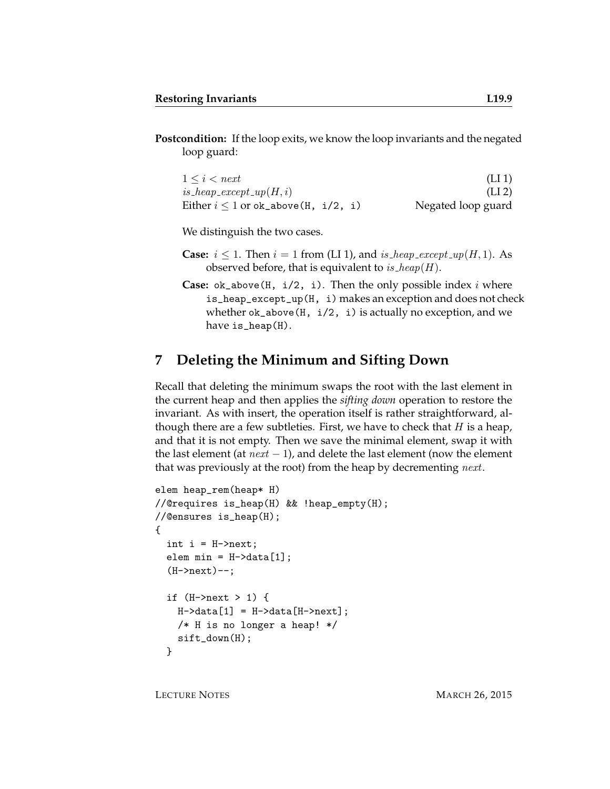**Postcondition:** If the loop exits, we know the loop invariants and the negated loop guard:

| $1 \leq i \leq next$                      | (LI1)              |
|-------------------------------------------|--------------------|
| is_heap_except_up $(H, i)$                | (LI <sub>2</sub> ) |
| Either $i \leq 1$ or ok_above (H, i/2, i) | Negated loop guard |

We distinguish the two cases.

- **Case:**  $i \leq 1$ . Then  $i = 1$  from (LI 1), and is heap except  $\mathfrak{u}(H, 1)$ . As observed before, that is equivalent to is\_heap( $H$ ).
- **Case:**  $ok\_above(H, i/2, i)$ . Then the only possible index i where is\_heap\_except\_up(H, i) makes an exception and does not check whether  $ok_above(H, i/2, i)$  is actually no exception, and we have is\_heap(H).

#### **7 Deleting the Minimum and Sifting Down**

Recall that deleting the minimum swaps the root with the last element in the current heap and then applies the *sifting down* operation to restore the invariant. As with insert, the operation itself is rather straightforward, although there are a few subtleties. First, we have to check that  $H$  is a heap, and that it is not empty. Then we save the minimal element, swap it with the last element (at  $next - 1$ ), and delete the last element (now the element that was previously at the root) from the heap by decrementing *next*.

```
elem heap_rem(heap* H)
//@requires is_heap(H) && !heap_empty(H);
//@ensures is_heap(H);
{
  int i = H->next;
  elem min = H-\lambda data[1];(H->next)--;
  if (H->next > 1) {
    H-\lambda data[1] = H-\lambda data[H-\lambda next];
    /* H is no longer a heap! */
    sift_down(H);
  }
```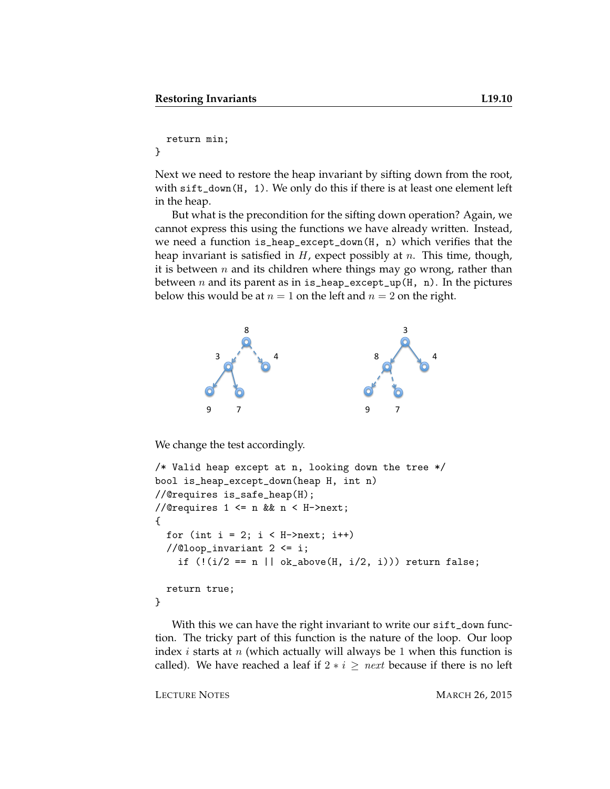```
return min;
```
}

Next we need to restore the heap invariant by sifting down from the root, with sift\_down(H, 1). We only do this if there is at least one element left in the heap.

But what is the precondition for the sifting down operation? Again, we cannot express this using the functions we have already written. Instead, we need a function is\_heap\_except\_down(H, n) which verifies that the heap invariant is satisfied in  $H$ , expect possibly at  $n$ . This time, though, it is between  $n$  and its children where things may go wrong, rather than between  $n$  and its parent as in is\_heap\_except\_up(H, n). In the pictures below this would be at  $n = 1$  on the left and  $n = 2$  on the right.



We change the test accordingly.

```
/* Valid heap except at n, looking down the tree */
bool is_heap_except_down(heap H, int n)
//@requires is_safe_heap(H);
//@requires 1 \leq n && n \leq H->next;
{
  for (int i = 2; i < H->next; i++)//@loop_invariant 2 <= i;
    if (!(i/2 == n || ok_above(H, i/2, i))) return false;
 return true;
}
```
With this we can have the right invariant to write our sift\_down function. The tricky part of this function is the nature of the loop. Our loop index  $i$  starts at  $n$  (which actually will always be 1 when this function is called). We have reached a leaf if  $2 * i \geq next$  because if there is no left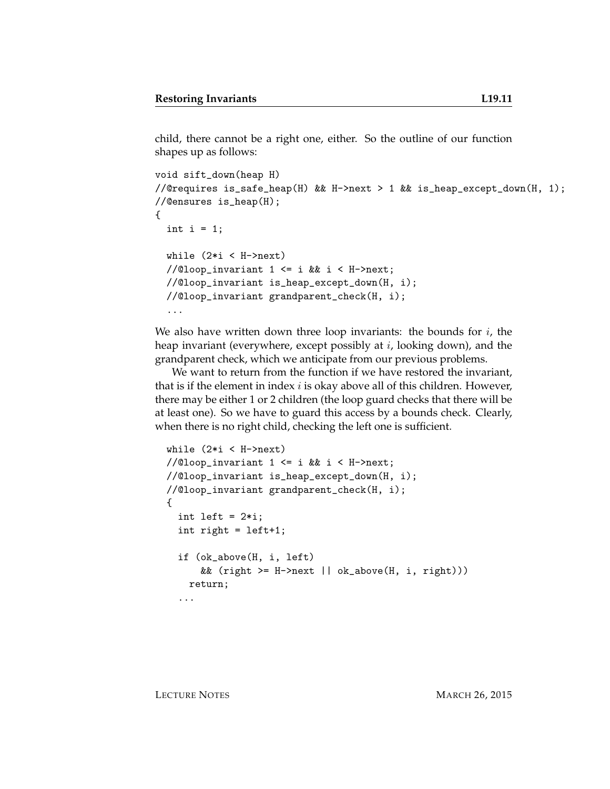child, there cannot be a right one, either. So the outline of our function shapes up as follows:

```
void sift_down(heap H)
//@requires is_safe_heap(H) && H->next > 1 && is_heap_except_down(H, 1);
//@ensures is_heap(H);
{
  int i = 1;
  while (2*i < H->next)//@loop_invariant 1 \leq i && i \leq H->next;
 //@loop_invariant is_heap_except_down(H, i);
  //@loop_invariant grandparent_check(H, i);
  ...
```
We also have written down three loop invariants: the bounds for  $i$ , the heap invariant (everywhere, except possibly at  $i$ , looking down), and the grandparent check, which we anticipate from our previous problems.

We want to return from the function if we have restored the invariant, that is if the element in index  $i$  is okay above all of this children. However, there may be either 1 or 2 children (the loop guard checks that there will be at least one). So we have to guard this access by a bounds check. Clearly, when there is no right child, checking the left one is sufficient.

```
while (2*i < H->next)
//@loop_invariant 1 <= i && i < H->next;
//@loop_invariant is_heap_except_down(H, i);
//@loop_invariant grandparent_check(H, i);
{
  int left = 2*i;
  int right = left+1;
  if (ok_above(H, i, left)
      && (right \geq H\geq next || ok_above(H, i, right)))return;
  ...
```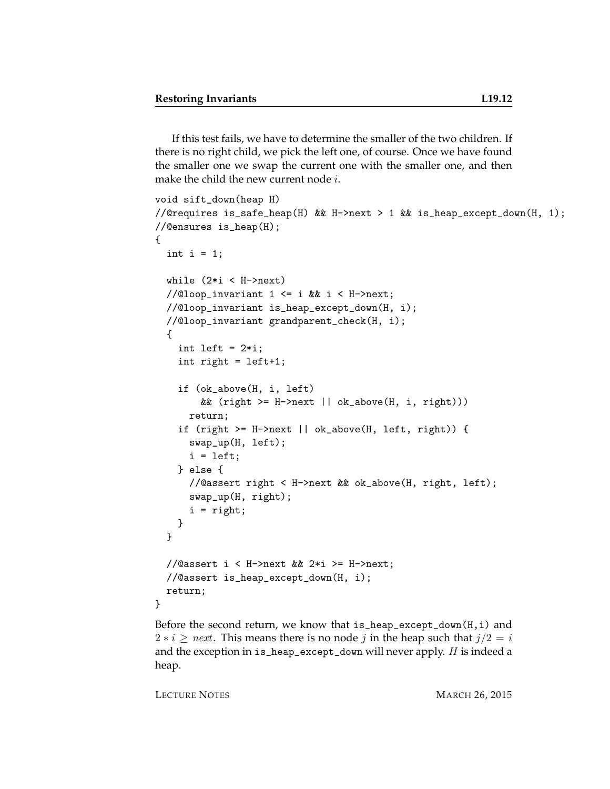If this test fails, we have to determine the smaller of the two children. If there is no right child, we pick the left one, of course. Once we have found the smaller one we swap the current one with the smaller one, and then make the child the new current node  $i$ .

```
void sift_down(heap H)
//@requires is_safe_heap(H) && H->next > 1 && is_heap_except_down(H, 1);
//@ensures is_heap(H);
{
  int i = 1;
 while (2*i < H->next)//@loop_invariant 1 <= i && i < H->next;
  //@loop_invariant is_heap_except_down(H, i);
  //@loop_invariant grandparent_check(H, i);
  {
    int left = 2*i;
    int right = left+1;
    if (ok_above(H, i, left)
        && (right >= H->next || ok_above(H, i, right)))
      return;
    if (right >= H->next || ok_above(H, left, right)) {
      swap_up(H, left);
      i = left;} else {
      //@assert right < H->next && ok_above(H, right, left);
      swap_up(H, right);
      i = right;
   }
  }
  //@assert i < H->next && 2*i >= H->next;
  //@assert is_heap_except_down(H, i);
 return;
}
```
Before the second return, we know that is\_heap\_except\_down(H,i) and  $2 * i \geq next$ . This means there is no node j in the heap such that  $j/2 = i$ and the exception in is\_heap\_except\_down will never apply. H is indeed a heap.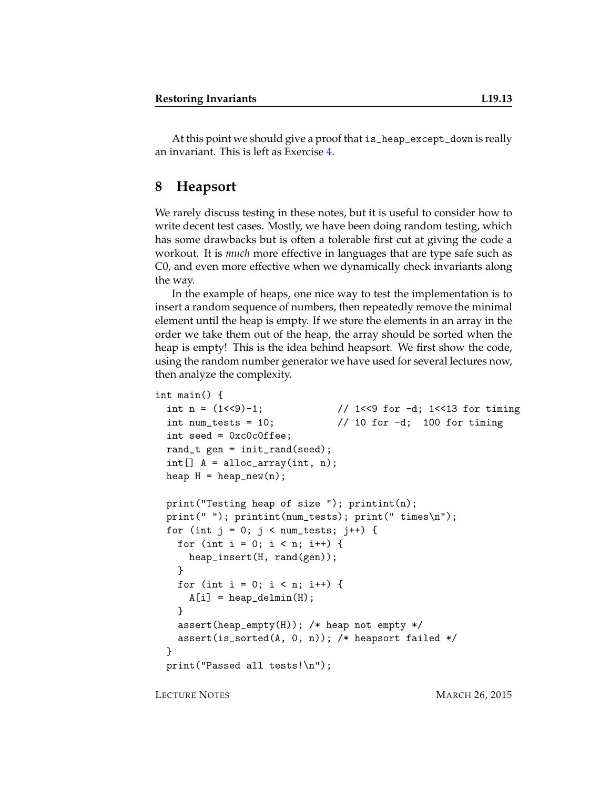At this point we should give a proof that is\_heap\_except\_down is really an invariant. This is left as Exercise [4.](#page-14-0)

#### **8 Heapsort**

We rarely discuss testing in these notes, but it is useful to consider how to write decent test cases. Mostly, we have been doing random testing, which has some drawbacks but is often a tolerable first cut at giving the code a workout. It is *much* more effective in languages that are type safe such as C0, and even more effective when we dynamically check invariants along the way.

In the example of heaps, one nice way to test the implementation is to insert a random sequence of numbers, then repeatedly remove the minimal element until the heap is empty. If we store the elements in an array in the order we take them out of the heap, the array should be sorted when the heap is empty! This is the idea behind heapsort. We first show the code, using the random number generator we have used for several lectures now, then analyze the complexity.

```
int main() {
  int n = (1 < 9) - 1; \frac{1}{5} // 1 < 9 for -1; 1 < 13 for timing
  int num_tests = 10; \frac{1}{10} for -d; 100 for timing
  int seed = 0xc0c0ffee;
  rand_t gen = init_rand(seed);
  int[] A = alloc_array(int, n);heap H = \text{heap_new}(n);
 print("Testing heap of size "); printint(n);
 print(" "); printint(num_tests); print(" times\n");
 for (int j = 0; j < num\_tests; j++) {
    for (int i = 0; i < n; i++) {
      heap_insert(H, rand(gen));
    }
   for (int i = 0; i < n; i++) {
      A[i] = \text{heap\_delmin}(H);}
    assert(heap_empty(H)); /* heap not empty */
    assert(is_sorted(A, 0, n)); /* heapsort failed */
  }
  print("Passed all tests!\n");
```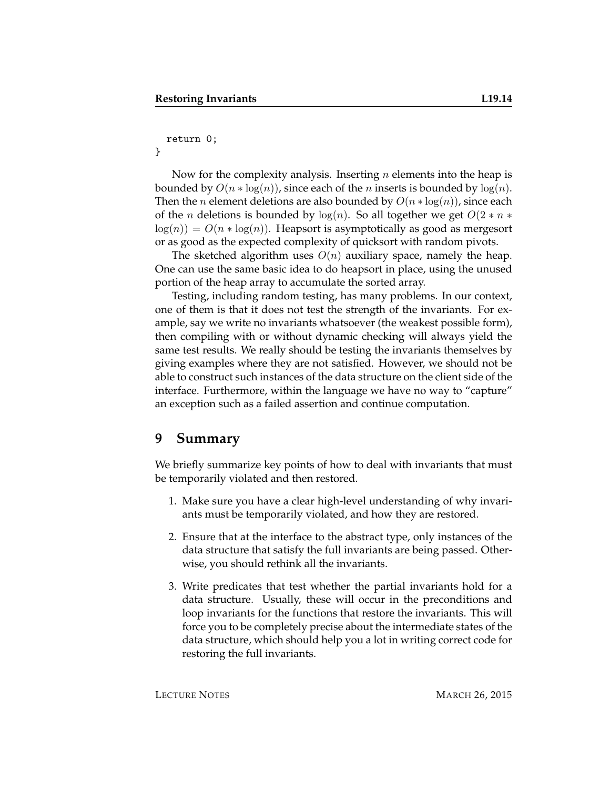#### return 0;

}

Now for the complexity analysis. Inserting  $n$  elements into the heap is bounded by  $O(n * log(n))$ , since each of the *n* inserts is bounded by  $log(n)$ . Then the *n* element deletions are also bounded by  $O(n * log(n))$ , since each of the *n* deletions is bounded by  $log(n)$ . So all together we get  $O(2 * n *$  $log(n) = O(n * log(n))$ . Heapsort is asymptotically as good as mergesort or as good as the expected complexity of quicksort with random pivots.

The sketched algorithm uses  $O(n)$  auxiliary space, namely the heap. One can use the same basic idea to do heapsort in place, using the unused portion of the heap array to accumulate the sorted array.

Testing, including random testing, has many problems. In our context, one of them is that it does not test the strength of the invariants. For example, say we write no invariants whatsoever (the weakest possible form), then compiling with or without dynamic checking will always yield the same test results. We really should be testing the invariants themselves by giving examples where they are not satisfied. However, we should not be able to construct such instances of the data structure on the client side of the interface. Furthermore, within the language we have no way to "capture" an exception such as a failed assertion and continue computation.

#### **9 Summary**

We briefly summarize key points of how to deal with invariants that must be temporarily violated and then restored.

- 1. Make sure you have a clear high-level understanding of why invariants must be temporarily violated, and how they are restored.
- 2. Ensure that at the interface to the abstract type, only instances of the data structure that satisfy the full invariants are being passed. Otherwise, you should rethink all the invariants.
- 3. Write predicates that test whether the partial invariants hold for a data structure. Usually, these will occur in the preconditions and loop invariants for the functions that restore the invariants. This will force you to be completely precise about the intermediate states of the data structure, which should help you a lot in writing correct code for restoring the full invariants.